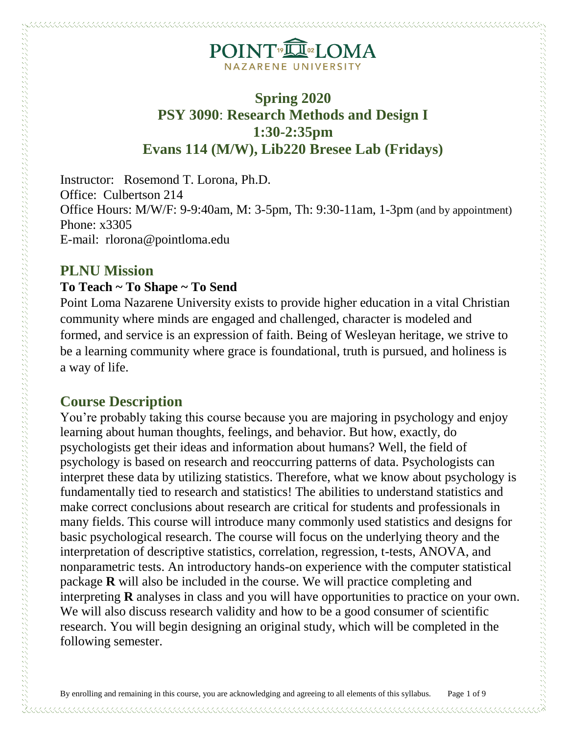## **Spring 2020 PSY 3090**: **Research Methods and Design I 1:30-2:35pm Evans 114 (M/W), Lib220 Bresee Lab (Fridays)**

Instructor: Rosemond T. Lorona, Ph.D. Office: Culbertson 214 Office Hours: M/W/F: 9-9:40am, M: 3-5pm, Th: 9:30-11am, 1-3pm (and by appointment) Phone: x3305 E-mail: rlorona@pointloma.edu

#### **PLNU Mission**

 $\mu$  , and a component component construction of the component component construction of  $\mu$ 

#### **To Teach ~ To Shape ~ To Send**

Point Loma Nazarene University exists to provide higher education in a vital Christian community where minds are engaged and challenged, character is modeled and formed, and service is an expression of faith. Being of Wesleyan heritage, we strive to be a learning community where grace is foundational, truth is pursued, and holiness is a way of life.

#### **Course Description**

You're probably taking this course because you are majoring in psychology and enjoy learning about human thoughts, feelings, and behavior. But how, exactly, do psychologists get their ideas and information about humans? Well, the field of psychology is based on research and reoccurring patterns of data. Psychologists can interpret these data by utilizing statistics. Therefore, what we know about psychology is fundamentally tied to research and statistics! The abilities to understand statistics and make correct conclusions about research are critical for students and professionals in many fields. This course will introduce many commonly used statistics and designs for basic psychological research. The course will focus on the underlying theory and the interpretation of descriptive statistics, correlation, regression, t-tests, ANOVA, and nonparametric tests. An introductory hands-on experience with the computer statistical package **R** will also be included in the course. We will practice completing and interpreting **R** analyses in class and you will have opportunities to practice on your own. We will also discuss research validity and how to be a good consumer of scientific research. You will begin designing an original study, which will be completed in the following semester.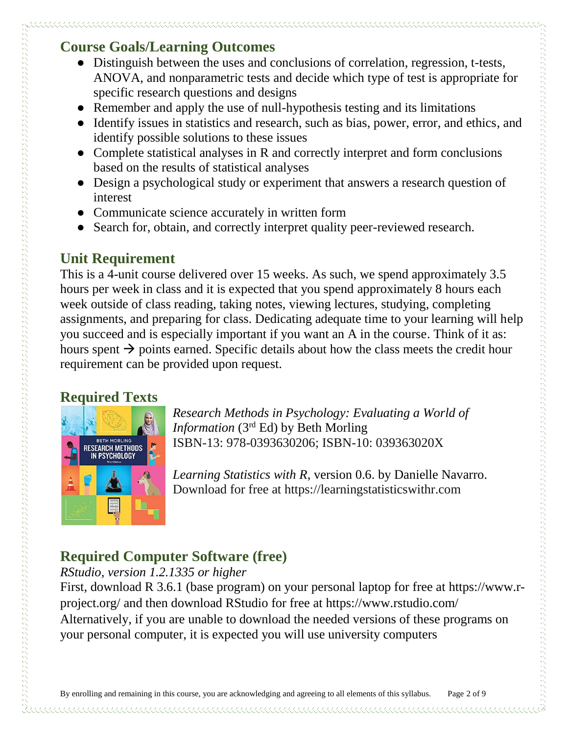## **Course Goals/Learning Outcomes**

- Distinguish between the uses and conclusions of correlation, regression, t-tests, ANOVA, and nonparametric tests and decide which type of test is appropriate for specific research questions and designs
- Remember and apply the use of null-hypothesis testing and its limitations
- Identify issues in statistics and research, such as bias, power, error, and ethics, and identify possible solutions to these issues
- Complete statistical analyses in R and correctly interpret and form conclusions based on the results of statistical analyses
- Design a psychological study or experiment that answers a research question of interest
- Communicate science accurately in written form
- Search for, obtain, and correctly interpret quality peer-reviewed research.

## **Unit Requirement**

This is a 4-unit course delivered over 15 weeks. As such, we spend approximately 3.5 hours per week in class and it is expected that you spend approximately 8 hours each week outside of class reading, taking notes, viewing lectures, studying, completing assignments, and preparing for class. Dedicating adequate time to your learning will help you succeed and is especially important if you want an A in the course. Think of it as: hours spent  $\rightarrow$  points earned. Specific details about how the class meets the credit hour requirement can be provided upon request.

## **Required Texts**



*Research Methods in Psychology: Evaluating a World of Information* (3rd Ed) by Beth Morling ISBN-13: 978-0393630206; ISBN-10: 039363020X

*Learning Statistics with R*, version 0.6. by Danielle Navarro. Download for free at https://learningstatisticswithr.com

# **Required Computer Software (free)**

#### *RStudio, version 1.2.1335 or higher*

First, download R 3.6.1 (base program) on your personal laptop for free at https://www.rproject.org/ and then download RStudio for free at https://www.rstudio.com/ Alternatively, if you are unable to download the needed versions of these programs on your personal computer, it is expected you will use university computers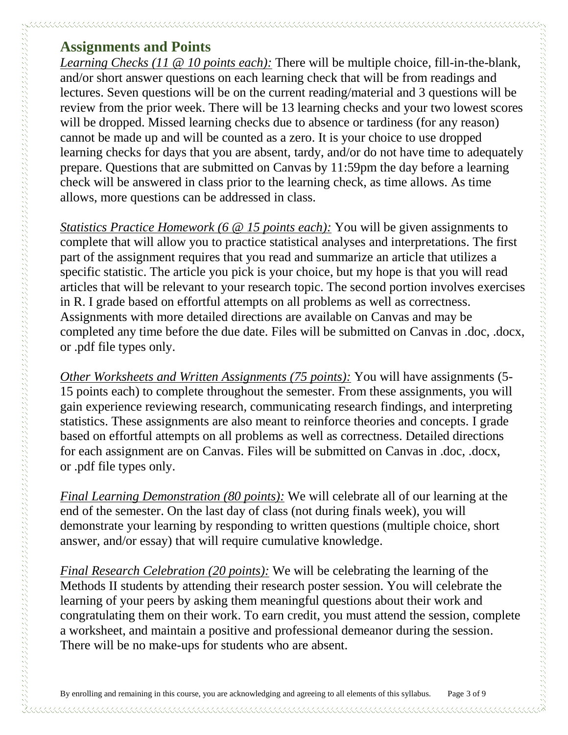#### **Assignments and Points**

*Learning Checks (11 @ 10 points each):* There will be multiple choice, fill-in-the-blank, and/or short answer questions on each learning check that will be from readings and lectures. Seven questions will be on the current reading/material and 3 questions will be review from the prior week. There will be 13 learning checks and your two lowest scores will be dropped. Missed learning checks due to absence or tardiness (for any reason) cannot be made up and will be counted as a zero. It is your choice to use dropped learning checks for days that you are absent, tardy, and/or do not have time to adequately prepare. Questions that are submitted on Canvas by 11:59pm the day before a learning check will be answered in class prior to the learning check, as time allows. As time allows, more questions can be addressed in class.

*Statistics Practice Homework (6 @ 15 points each):* You will be given assignments to complete that will allow you to practice statistical analyses and interpretations. The first part of the assignment requires that you read and summarize an article that utilizes a specific statistic. The article you pick is your choice, but my hope is that you will read articles that will be relevant to your research topic. The second portion involves exercises in R. I grade based on effortful attempts on all problems as well as correctness. Assignments with more detailed directions are available on Canvas and may be completed any time before the due date. Files will be submitted on Canvas in .doc, .docx, or .pdf file types only.

*Other Worksheets and Written Assignments (75 points):* You will have assignments (5- 15 points each) to complete throughout the semester. From these assignments, you will gain experience reviewing research, communicating research findings, and interpreting statistics. These assignments are also meant to reinforce theories and concepts. I grade based on effortful attempts on all problems as well as correctness. Detailed directions for each assignment are on Canvas. Files will be submitted on Canvas in .doc, .docx, or .pdf file types only.

*Final Learning Demonstration (80 points):* We will celebrate all of our learning at the end of the semester. On the last day of class (not during finals week), you will demonstrate your learning by responding to written questions (multiple choice, short answer, and/or essay) that will require cumulative knowledge.

*Final Research Celebration (20 points):* We will be celebrating the learning of the Methods II students by attending their research poster session. You will celebrate the learning of your peers by asking them meaningful questions about their work and congratulating them on their work. To earn credit, you must attend the session, complete a worksheet, and maintain a positive and professional demeanor during the session. There will be no make-ups for students who are absent.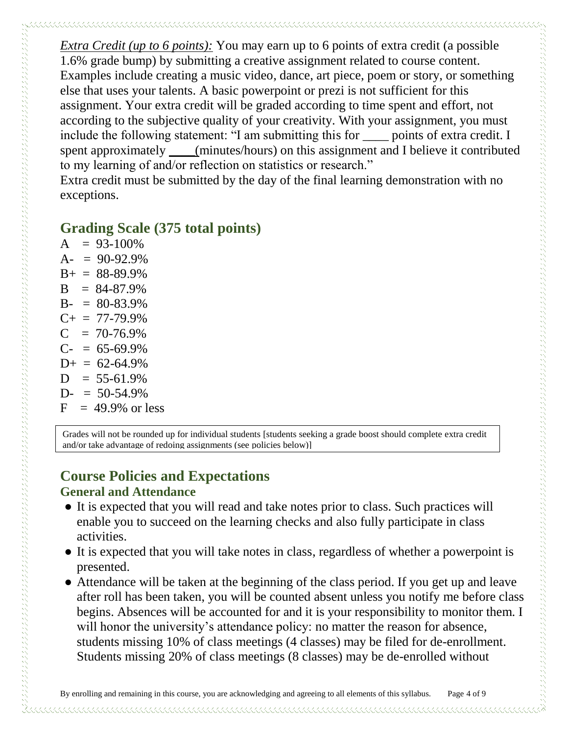*Extra Credit (up to 6 points):* You may earn up to 6 points of extra credit (a possible 1.6% grade bump) by submitting a creative assignment related to course content. Examples include creating a music video, dance, art piece, poem or story, or something else that uses your talents. A basic powerpoint or prezi is not sufficient for this assignment. Your extra credit will be graded according to time spent and effort, not according to the subjective quality of your creativity. With your assignment, you must include the following statement: "I am submitting this for \_\_\_\_ points of extra credit. I spent approximately \_\_\_\_(minutes/hours) on this assignment and I believe it contributed to my learning of and/or reflection on statistics or research."

Extra credit must be submitted by the day of the final learning demonstration with no exceptions.

#### **Grading Scale (375 total points)**

 $A = 93-100\%$  $A- = 90-92.9%$  $B+ = 88-89.9%$  $B = 84-87.9%$  $B- = 80-83.9%$  $C_{+}$  = 77-79.9%  $C = 70-76.9%$  $C = 65-69.9%$  $D_{+} = 62 - 64.9\%$  $D = 55-61.9%$  $D = 50-54.9%$  $F = 49.9\%$  or less

Grades will not be rounded up for individual students [students seeking a grade boost should complete extra credit and/or take advantage of redoing assignments (see policies below)]

# **Course Policies and Expectations**

#### **General and Attendance**

- It is expected that you will read and take notes prior to class. Such practices will enable you to succeed on the learning checks and also fully participate in class activities.
- It is expected that you will take notes in class, regardless of whether a powerpoint is presented.
- Attendance will be taken at the beginning of the class period. If you get up and leave after roll has been taken, you will be counted absent unless you notify me before class begins. Absences will be accounted for and it is your responsibility to monitor them. I will honor the university's attendance policy: no matter the reason for absence, students missing 10% of class meetings (4 classes) may be filed for de-enrollment. Students missing 20% of class meetings (8 classes) may be de-enrolled without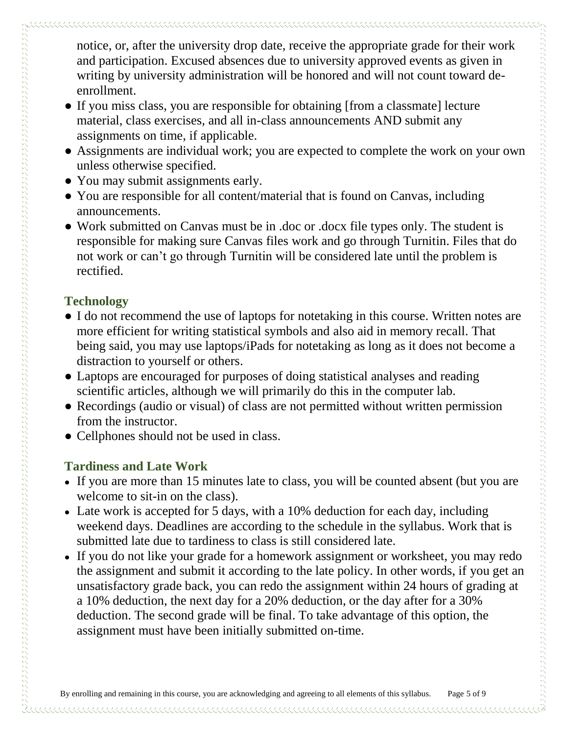notice, or, after the university drop date, receive the appropriate grade for their work and participation. Excused absences due to university approved events as given in writing by university administration will be honored and will not count toward deenrollment.

- If you miss class, you are responsible for obtaining [from a classmate] lecture material, class exercises, and all in-class announcements AND submit any assignments on time, if applicable.
- Assignments are individual work; you are expected to complete the work on your own unless otherwise specified.
- You may submit assignments early.
- You are responsible for all content/material that is found on Canvas, including announcements.
- Work submitted on Canvas must be in .doc or .docx file types only. The student is responsible for making sure Canvas files work and go through Turnitin. Files that do not work or can't go through Turnitin will be considered late until the problem is rectified.

### **Technology**

construction of the construction of the construction of the construction of the construction of the construction of the construction of the construction of the construction of the construction of the construction of the co

- I do not recommend the use of laptops for notetaking in this course. Written notes are more efficient for writing statistical symbols and also aid in memory recall. That being said, you may use laptops/iPads for notetaking as long as it does not become a distraction to yourself or others.
- Laptops are encouraged for purposes of doing statistical analyses and reading scientific articles, although we will primarily do this in the computer lab.
- Recordings (audio or visual) of class are not permitted without written permission from the instructor.
- Cellphones should not be used in class.

## **Tardiness and Late Work**

- **●** If you are more than 15 minutes late to class, you will be counted absent (but you are welcome to sit-in on the class).
- Late work is accepted for 5 days, with a 10% deduction for each day, including weekend days. Deadlines are according to the schedule in the syllabus. Work that is submitted late due to tardiness to class is still considered late.
- If you do not like your grade for a homework assignment or worksheet, you may redo the assignment and submit it according to the late policy. In other words, if you get an unsatisfactory grade back, you can redo the assignment within 24 hours of grading at a 10% deduction, the next day for a 20% deduction, or the day after for a 30% deduction. The second grade will be final. To take advantage of this option, the assignment must have been initially submitted on-time.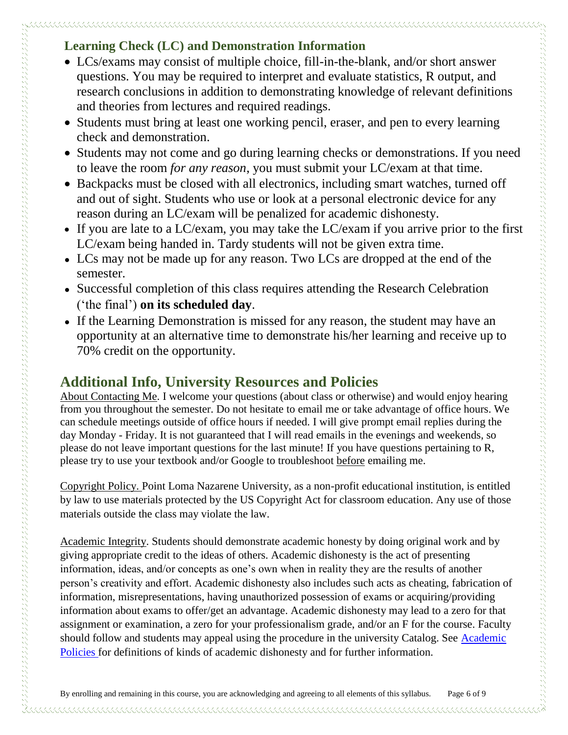#### **Learning Check (LC) and Demonstration Information**

- LCs/exams may consist of multiple choice, fill-in-the-blank, and/or short answer questions. You may be required to interpret and evaluate statistics, R output, and research conclusions in addition to demonstrating knowledge of relevant definitions and theories from lectures and required readings.
- Students must bring at least one working pencil, eraser, and pen to every learning check and demonstration.
- Students may not come and go during learning checks or demonstrations. If you need to leave the room *for any reason*, you must submit your LC/exam at that time.
- Backpacks must be closed with all electronics, including smart watches, turned off and out of sight. Students who use or look at a personal electronic device for any reason during an LC/exam will be penalized for academic dishonesty.
- If you are late to a LC/exam, you may take the LC/exam if you arrive prior to the first LC/exam being handed in. Tardy students will not be given extra time.
- **●** LCs may not be made up for any reason. Two LCs are dropped at the end of the semester.
- **●** Successful completion of this class requires attending the Research Celebration ('the final') **on its scheduled day**.
- **●** If the Learning Demonstration is missed for any reason, the student may have an opportunity at an alternative time to demonstrate his/her learning and receive up to 70% credit on the opportunity.

## **Additional Info, University Resources and Policies**

About Contacting Me. I welcome your questions (about class or otherwise) and would enjoy hearing from you throughout the semester. Do not hesitate to email me or take advantage of office hours. We can schedule meetings outside of office hours if needed. I will give prompt email replies during the day Monday - Friday. It is not guaranteed that I will read emails in the evenings and weekends, so please do not leave important questions for the last minute! If you have questions pertaining to R, please try to use your textbook and/or Google to troubleshoot before emailing me.

Copyright Policy. Point Loma Nazarene University, as a non-profit educational institution, is entitled by law to use materials protected by the US Copyright Act for classroom education. Any use of those materials outside the class may violate the law.

Academic Integrity. Students should demonstrate academic honesty by doing original work and by giving appropriate credit to the ideas of others. Academic dishonesty is the act of presenting information, ideas, and/or concepts as one's own when in reality they are the results of another person's creativity and effort. Academic dishonesty also includes such acts as cheating, fabrication of information, misrepresentations, having unauthorized possession of exams or acquiring/providing information about exams to offer/get an advantage. Academic dishonesty may lead to a zero for that assignment or examination, a zero for your professionalism grade, and/or an F for the course. Faculty should follow and students may appeal using the procedure in the university Catalog. See [Academic](http://catalog.pointloma.edu/content.php?catoid=18&navoid=1278)  [Policies](http://catalog.pointloma.edu/content.php?catoid=18&navoid=1278) for definitions of kinds of academic dishonesty and for further information.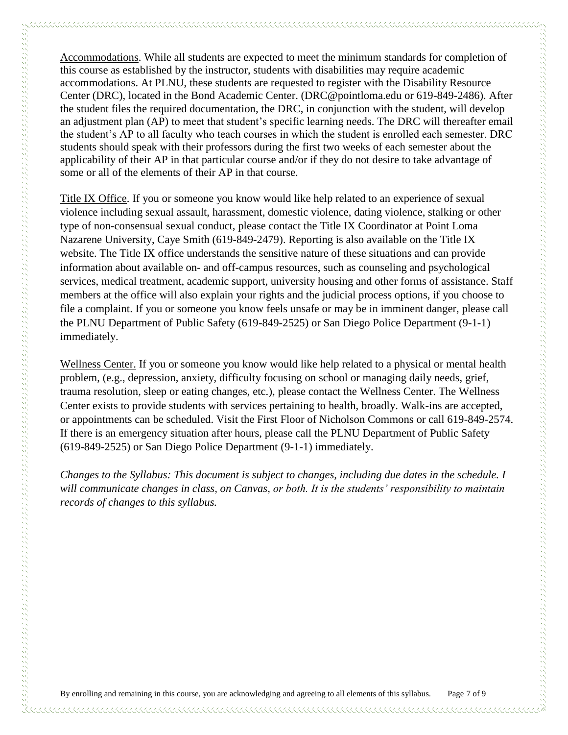Accommodations. While all students are expected to meet the minimum standards for completion of this course as established by the instructor, students with disabilities may require academic accommodations. At PLNU, these students are requested to register with the Disability Resource Center (DRC), located in the Bond Academic Center. (DRC@pointloma.edu or 619-849-2486). After the student files the required documentation, the DRC, in conjunction with the student, will develop an adjustment plan (AP) to meet that student's specific learning needs. The DRC will thereafter email the student's AP to all faculty who teach courses in which the student is enrolled each semester. DRC students should speak with their professors during the first two weeks of each semester about the applicability of their AP in that particular course and/or if they do not desire to take advantage of some or all of the elements of their AP in that course.

Title IX Office. If you or someone you know would like help related to an experience of sexual violence including sexual assault, harassment, domestic violence, dating violence, stalking or other type of non-consensual sexual conduct, please contact the Title IX Coordinator at Point Loma Nazarene University, Caye Smith (619-849-2479). Reporting is also available on the Title IX website. The Title IX office understands the sensitive nature of these situations and can provide information about available on- and off-campus resources, such as counseling and psychological services, medical treatment, academic support, university housing and other forms of assistance. Staff members at the office will also explain your rights and the judicial process options, if you choose to file a complaint. If you or someone you know feels unsafe or may be in imminent danger, please call the PLNU Department of Public Safety (619-849-2525) or San Diego Police Department (9-1-1) immediately.

Wellness Center. If you or someone you know would like help related to a physical or mental health problem, (e.g., depression, anxiety, difficulty focusing on school or managing daily needs, grief, trauma resolution, sleep or eating changes, etc.), please contact the Wellness Center. The Wellness Center exists to provide students with services pertaining to health, broadly. Walk-ins are accepted, or appointments can be scheduled. Visit the First Floor of Nicholson Commons or call 619-849-2574. If there is an emergency situation after hours, please call the PLNU Department of Public Safety (619-849-2525) or San Diego Police Department (9-1-1) immediately.

*Changes to the Syllabus: This document is subject to changes, including due dates in the schedule. I will communicate changes in class, on Canvas, or both. It is the students' responsibility to maintain records of changes to this syllabus.*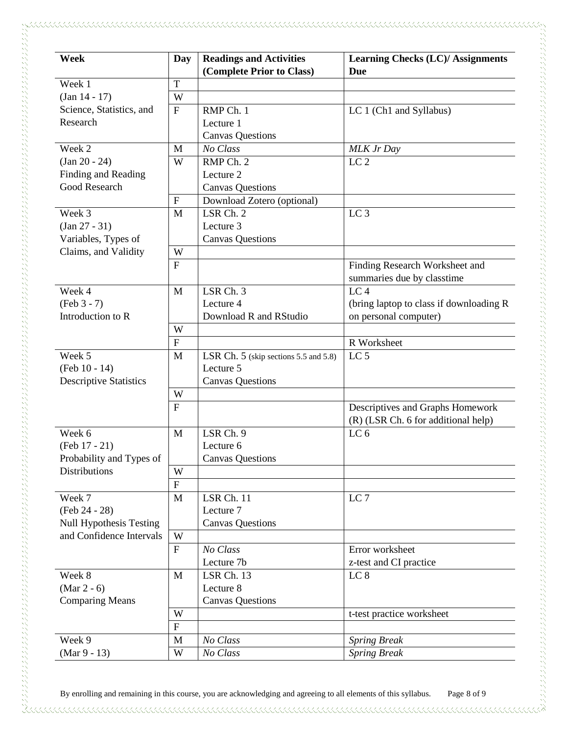| <b>Week</b>                                                                           | Day                       | <b>Readings and Activities</b>        | <b>Learning Checks (LC)/ Assignments</b> |
|---------------------------------------------------------------------------------------|---------------------------|---------------------------------------|------------------------------------------|
|                                                                                       |                           | (Complete Prior to Class)             | <b>Due</b>                               |
| Week 1                                                                                | T                         |                                       |                                          |
| $(Jan 14 - 17)$                                                                       | W                         |                                       |                                          |
| Science, Statistics, and                                                              | $\mathbf F$               | RMP Ch. 1                             | LC 1 (Ch1 and Syllabus)                  |
| Research                                                                              |                           | Lecture 1                             |                                          |
|                                                                                       |                           | <b>Canvas Questions</b>               |                                          |
| Week 2                                                                                | M                         | No Class                              | MLK Jr Day                               |
| $(Jan 20 - 24)$                                                                       | W                         | RMP Ch. 2                             | LC <sub>2</sub>                          |
| Finding and Reading                                                                   |                           | Lecture 2                             |                                          |
| Good Research                                                                         |                           | <b>Canvas Questions</b>               |                                          |
|                                                                                       | $\boldsymbol{\mathrm{F}}$ | Download Zotero (optional)            |                                          |
| Week 3<br>$(Jan 27 - 31)$<br>Variables, Types of                                      | M                         | LSR Ch. 2                             | LC <sub>3</sub>                          |
|                                                                                       |                           | Lecture 3                             |                                          |
|                                                                                       |                           | <b>Canvas Questions</b>               |                                          |
| Claims, and Validity                                                                  | W                         |                                       |                                          |
|                                                                                       | $\mathbf F$               |                                       | Finding Research Worksheet and           |
|                                                                                       |                           |                                       | summaries due by classtime               |
| Week 4                                                                                | M                         | LSR Ch.3                              | $LC\bar{4}$                              |
| $(Feb 3 - 7)$                                                                         |                           | Lecture 4                             | (bring laptop to class if downloading R) |
| Introduction to R                                                                     |                           | Download R and RStudio                | on personal computer)                    |
|                                                                                       | W                         |                                       |                                          |
|                                                                                       | $\overline{F}$            |                                       | R Worksheet                              |
| Week 5                                                                                | M                         | LSR Ch. 5 (skip sections 5.5 and 5.8) | LC <sub>5</sub>                          |
| (Feb 10 - 14)                                                                         |                           | Lecture 5                             |                                          |
| <b>Descriptive Statistics</b>                                                         |                           | <b>Canvas Questions</b>               |                                          |
|                                                                                       | W                         |                                       |                                          |
|                                                                                       | $\overline{F}$            |                                       | Descriptives and Graphs Homework         |
|                                                                                       |                           |                                       | (R) (LSR Ch. 6 for additional help)      |
| Week 6                                                                                | M                         | LSR Ch. 9                             | LC <sub>6</sub>                          |
| (Feb 17 - 21)                                                                         |                           | Lecture 6                             |                                          |
| Probability and Types of<br><b>Distributions</b>                                      |                           | <b>Canvas Questions</b>               |                                          |
|                                                                                       | W                         |                                       |                                          |
|                                                                                       | $\mathbf F$               |                                       |                                          |
| Week 7<br>(Feb 24 - 28)<br><b>Null Hypothesis Testing</b><br>and Confidence Intervals | $\mathbf{M}$              | LSR Ch. 11                            | LC <sub>7</sub>                          |
|                                                                                       |                           | Lecture 7                             |                                          |
|                                                                                       |                           | <b>Canvas Questions</b>               |                                          |
|                                                                                       | W                         |                                       |                                          |
|                                                                                       | $\mathbf{F}$              | No Class                              | Error worksheet                          |
|                                                                                       |                           | Lecture 7b                            | z-test and CI practice                   |
| Week 8<br>$(Mar 2 - 6)$<br><b>Comparing Means</b>                                     | M                         | LSR Ch. 13                            | LC <sub>8</sub>                          |
|                                                                                       |                           | Lecture 8                             |                                          |
|                                                                                       |                           | <b>Canvas Questions</b>               |                                          |
|                                                                                       | W                         |                                       | t-test practice worksheet                |
|                                                                                       | ${\bf F}$                 |                                       |                                          |
| Week 9                                                                                | M                         | No Class                              | <b>Spring Break</b>                      |
| $(Mar 9 - 13)$                                                                        | W                         | No Class                              | <b>Spring Break</b>                      |
|                                                                                       |                           |                                       |                                          |

By enrolling and remaining in this course, you are acknowledging and agreeing to all elements of this syllabus. Page 8 of 9